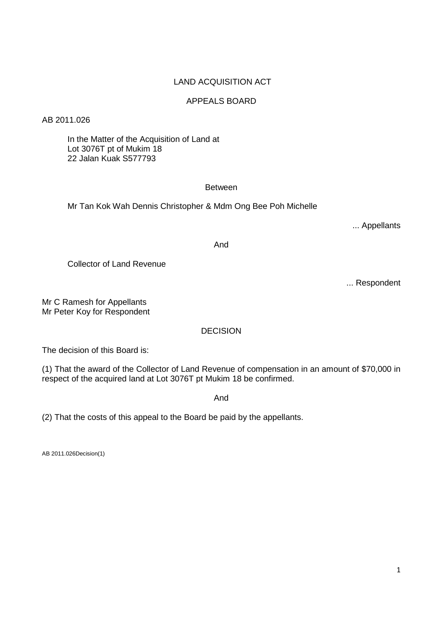## LAND ACQUISITION ACT

# APPEALS BOARD

AB 2011.026

 In the Matter of the Acquisition of Land at Lot 3076T pt of Mukim 18 22 Jalan Kuak S577793

## **Between**

Mr Tan Kok Wah Dennis Christopher & Mdm Ong Bee Poh Michelle

... Appellants

And

Collector of Land Revenue

... Respondent

Mr C Ramesh for Appellants Mr Peter Koy for Respondent

DECISION

The decision of this Board is:

(1) That the award of the Collector of Land Revenue of compensation in an amount of \$70,000 in respect of the acquired land at Lot 3076T pt Mukim 18 be confirmed.

And

(2) That the costs of this appeal to the Board be paid by the appellants.

AB 2011.026Decision(1)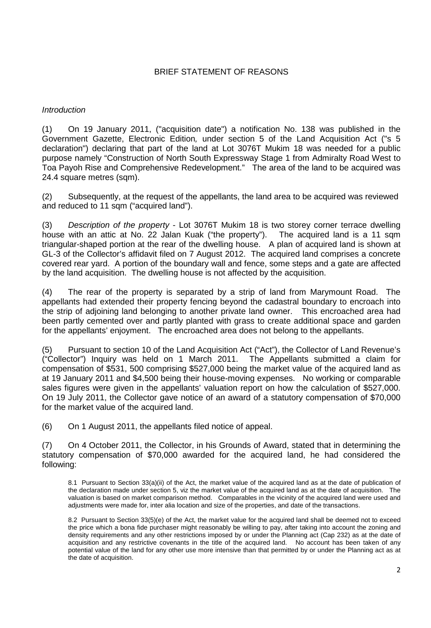## BRIEF STATEMENT OF REASONS

## *Introduction*

(1) On 19 January 2011, ("acquisition date") a notification No. 138 was published in the Government Gazette, Electronic Edition*,* under section 5 of the Land Acquisition Act ("s 5 declaration") declaring that part of the land at Lot 3076T Mukim 18 was needed for a public purpose namely "Construction of North South Expressway Stage 1 from Admiralty Road West to Toa Payoh Rise and Comprehensive Redevelopment." The area of the land to be acquired was 24.4 square metres (sqm).

(2) Subsequently, at the request of the appellants, the land area to be acquired was reviewed and reduced to 11 sqm ("acquired land").

(3) *Description of the property* - Lot 3076T Mukim 18 is two storey corner terrace dwelling house with an attic at No. 22 Jalan Kuak ("the property"). The acquired land is a 11 sqm triangular-shaped portion at the rear of the dwelling house. A plan of acquired land is shown at GL-3 of the Collector's affidavit filed on 7 August 2012. The acquired land comprises a concrete covered rear yard. A portion of the boundary wall and fence, some steps and a gate are affected by the land acquisition. The dwelling house is not affected by the acquisition.

(4) The rear of the property is separated by a strip of land from Marymount Road. The appellants had extended their property fencing beyond the cadastral boundary to encroach into the strip of adjoining land belonging to another private land owner. This encroached area had been partly cemented over and partly planted with grass to create additional space and garden for the appellants' enjoyment. The encroached area does not belong to the appellants.

(5) Pursuant to section 10 of the Land Acquisition Act ("Act"), the Collector of Land Revenue's ("Collector") Inquiry was held on 1 March 2011. The Appellants submitted a claim for compensation of \$531, 500 comprising \$527,000 being the market value of the acquired land as at 19 January 2011 and \$4,500 being their house-moving expenses. No working or comparable sales figures were given in the appellants' valuation report on how the calculation of \$527,000. On 19 July 2011, the Collector gave notice of an award of a statutory compensation of \$70,000 for the market value of the acquired land.

(6) On 1 August 2011, the appellants filed notice of appeal.

(7) On 4 October 2011, the Collector, in his Grounds of Award, stated that in determining the statutory compensation of \$70,000 awarded for the acquired land, he had considered the following:

8.1 Pursuant to Section 33(a)(ii) of the Act, the market value of the acquired land as at the date of publication of the declaration made under section 5, viz the market value of the acquired land as at the date of acquisition. The valuation is based on market comparison method. Comparables in the vicinity of the acquired land were used and adjustments were made for, inter alia location and size of the properties, and date of the transactions.

8.2 Pursuant to Section 33(5)(e) of the Act, the market value for the acquired land shall be deemed not to exceed the price which a bona fide purchaser might reasonably be willing to pay, after taking into account the zoning and density requirements and any other restrictions imposed by or under the Planning act (Cap 232) as at the date of acquisition and any restrictive covenants in the title of the acquired land. No account has been taken of any potential value of the land for any other use more intensive than that permitted by or under the Planning act as at the date of acquisition.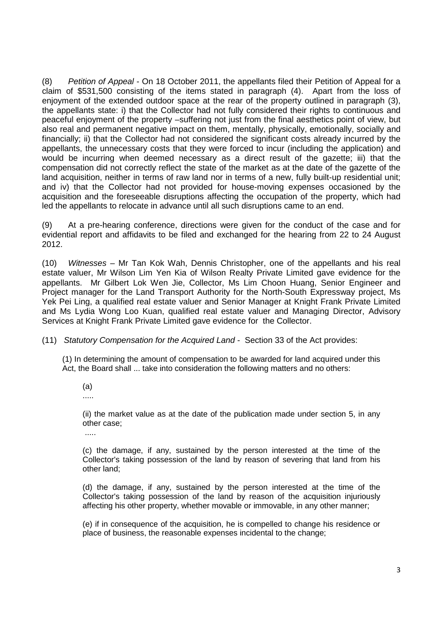(8) *Petition of Appeal* - On 18 October 2011, the appellants filed their Petition of Appeal for a claim of \$531,500 consisting of the items stated in paragraph (4). Apart from the loss of enjoyment of the extended outdoor space at the rear of the property outlined in paragraph (3), the appellants state: i) that the Collector had not fully considered their rights to continuous and peaceful enjoyment of the property –suffering not just from the final aesthetics point of view, but also real and permanent negative impact on them, mentally, physically, emotionally, socially and financially; ii) that the Collector had not considered the significant costs already incurred by the appellants, the unnecessary costs that they were forced to incur (including the application) and would be incurring when deemed necessary as a direct result of the gazette; iii) that the compensation did not correctly reflect the state of the market as at the date of the gazette of the land acquisition, neither in terms of raw land nor in terms of a new, fully built-up residential unit; and iv) that the Collector had not provided for house-moving expenses occasioned by the acquisition and the foreseeable disruptions affecting the occupation of the property, which had led the appellants to relocate in advance until all such disruptions came to an end.

(9) At a pre-hearing conference, directions were given for the conduct of the case and for evidential report and affidavits to be filed and exchanged for the hearing from 22 to 24 August 2012.

(10) *Witnesses* – Mr Tan Kok Wah, Dennis Christopher, one of the appellants and his real estate valuer, Mr Wilson Lim Yen Kia of Wilson Realty Private Limited gave evidence for the appellants. Mr Gilbert Lok Wen Jie, Collector, Ms Lim Choon Huang, Senior Engineer and Project manager for the Land Transport Authority for the North-South Expressway project, Ms Yek Pei Ling, a qualified real estate valuer and Senior Manager at Knight Frank Private Limited and Ms Lydia Wong Loo Kuan, qualified real estate valuer and Managing Director, Advisory Services at Knight Frank Private Limited gave evidence for the Collector.

(11) *Statutory Compensation for the Acquired Land* - Section 33 of the Act provides:

(1) In determining the amount of compensation to be awarded for land acquired under this Act, the Board shall ... take into consideration the following matters and no others:

(a)

.....

(ii) the market value as at the date of the publication made under section 5, in any other case;

.....

(c) the damage, if any, sustained by the person interested at the time of the Collector's taking possession of the land by reason of severing that land from his other land;

(d) the damage, if any, sustained by the person interested at the time of the Collector's taking possession of the land by reason of the acquisition injuriously affecting his other property, whether movable or immovable, in any other manner;

(e) if in consequence of the acquisition, he is compelled to change his residence or place of business, the reasonable expenses incidental to the change;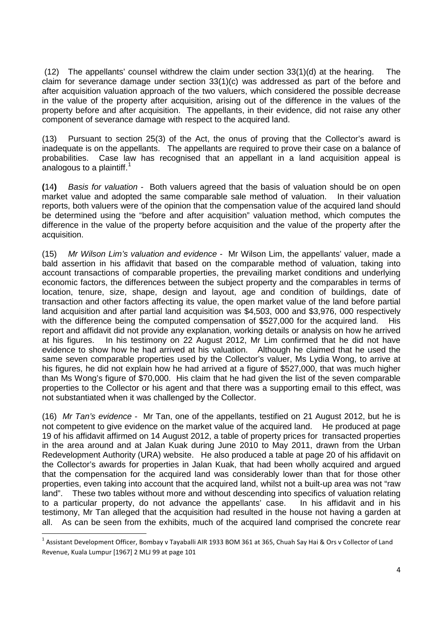(12) The appellants' counsel withdrew the claim under section 33(1)(d) at the hearing. The claim for severance damage under section 33(1)(c) was addressed as part of the before and after acquisition valuation approach of the two valuers, which considered the possible decrease in the value of the property after acquisition, arising out of the difference in the values of the property before and after acquisition. The appellants, in their evidence, did not raise any other component of severance damage with respect to the acquired land.

(13) Pursuant to section 25(3) of the Act, the onus of proving that the Collector's award is inadequate is on the appellants. The appellants are required to prove their case on a balance of probabilities. Case law has recognised that an appellant in a land acquisition appeal is analogous to a plaintiff.<sup>[1](#page-3-0)</sup>

**(**14**)** *Basis for valuation* - Both valuers agreed that the basis of valuation should be on open market value and adopted the same comparable sale method of valuation. In their valuation reports, both valuers were of the opinion that the compensation value of the acquired land should be determined using the "before and after acquisition" valuation method, which computes the difference in the value of the property before acquisition and the value of the property after the acquisition.

(15) *Mr Wilson Lim's valuation and evidence* - Mr Wilson Lim, the appellants' valuer, made a bald assertion in his affidavit that based on the comparable method of valuation, taking into account transactions of comparable properties, the prevailing market conditions and underlying economic factors, the differences between the subject property and the comparables in terms of location, tenure, size, shape, design and layout, age and condition of buildings, date of transaction and other factors affecting its value, the open market value of the land before partial land acquisition and after partial land acquisition was \$4,503, 000 and \$3,976, 000 respectively with the difference being the computed compensation of \$527,000 for the acquired land. His report and affidavit did not provide any explanation, working details or analysis on how he arrived at his figures. In his testimony on 22 August 2012, Mr Lim confirmed that he did not have evidence to show how he had arrived at his valuation. Although he claimed that he used the same seven comparable properties used by the Collector's valuer, Ms Lydia Wong, to arrive at his figures, he did not explain how he had arrived at a figure of \$527,000, that was much higher than Ms Wong's figure of \$70,000. His claim that he had given the list of the seven comparable properties to the Collector or his agent and that there was a supporting email to this effect, was not substantiated when it was challenged by the Collector.

(16) *Mr Tan's evidence* - Mr Tan, one of the appellants, testified on 21 August 2012, but he is not competent to give evidence on the market value of the acquired land. He produced at page 19 of his affidavit affirmed on 14 August 2012, a table of property prices for transacted properties in the area around and at Jalan Kuak during June 2010 to May 2011, drawn from the Urban Redevelopment Authority (URA) website. He also produced a table at page 20 of his affidavit on the Collector's awards for properties in Jalan Kuak, that had been wholly acquired and argued that the compensation for the acquired land was considerably lower than that for those other properties, even taking into account that the acquired land, whilst not a built-up area was not "raw land". These two tables without more and without descending into specifics of valuation relating to a particular property, do not advance the appellants' case. In his affidavit and in his testimony, Mr Tan alleged that the acquisition had resulted in the house not having a garden at all. As can be seen from the exhibits, much of the acquired land comprised the concrete rear

<span id="page-3-0"></span> $1$  Assistant Development Officer, Bombay v Tayaballi AIR 1933 BOM 361 at 365, Chuah Say Hai & Ors v Collector of Land Revenue, Kuala Lumpur [1967] 2 MLJ 99 at page 101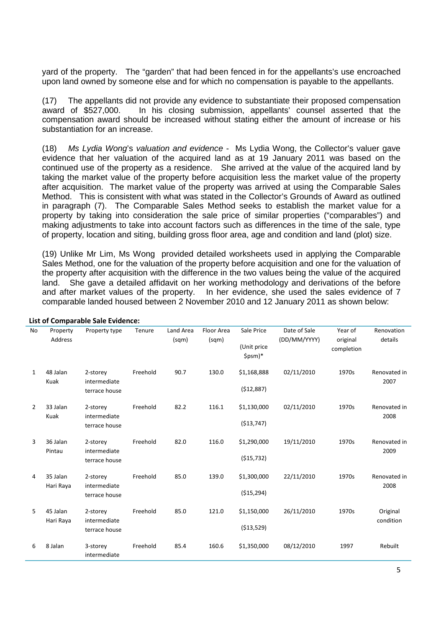yard of the property. The "garden" that had been fenced in for the appellants's use encroached upon land owned by someone else and for which no compensation is payable to the appellants.

(17) The appellants did not provide any evidence to substantiate their proposed compensation award of \$527,000. In his closing submission, appellants' counsel asserted that the compensation award should be increased without stating either the amount of increase or his substantiation for an increase.

(18) *Ms Lydia Wong*'s *valuation and evidence* - Ms Lydia Wong, the Collector's valuer gave evidence that her valuation of the acquired land as at 19 January 2011 was based on the continued use of the property as a residence. She arrived at the value of the acquired land by taking the market value of the property before acquisition less the market value of the property after acquisition. The market value of the property was arrived at using the Comparable Sales Method. This is consistent with what was stated in the Collector's Grounds of Award as outlined in paragraph (7). The Comparable Sales Method seeks to establish the market value for a property by taking into consideration the sale price of similar properties ("comparables") and making adjustments to take into account factors such as differences in the time of the sale, type of property, location and siting, building gross floor area, age and condition and land (plot) size.

(19) Unlike Mr Lim, Ms Wong provided detailed worksheets used in applying the Comparable Sales Method, one for the valuation of the property before acquisition and one for the valuation of the property after acquisition with the difference in the two values being the value of the acquired land. She gave a detailed affidavit on her working methodology and derivations of the before and after market values of the property. In her evidence, she used the sales evidence of 7 comparable landed housed between 2 November 2010 and 12 January 2011 as shown below:

| No             | Property<br>Address   | Property type                             | Tenure   | Land Area<br>(sqm) | Floor Area<br>(sqm) | Sale Price<br>(Unit price<br>\$psm)* | Date of Sale<br>(DD/MM/YYYY) | Year of<br>original<br>completion | Renovation<br>details |
|----------------|-----------------------|-------------------------------------------|----------|--------------------|---------------------|--------------------------------------|------------------------------|-----------------------------------|-----------------------|
| 1              | 48 Jalan<br>Kuak      | 2-storey<br>intermediate<br>terrace house | Freehold | 90.7               | 130.0               | \$1,168,888<br>(512,887)             | 02/11/2010                   | 1970s                             | Renovated in<br>2007  |
| $\overline{2}$ | 33 Jalan<br>Kuak      | 2-storey<br>intermediate<br>terrace house | Freehold | 82.2               | 116.1               | \$1,130,000<br>( \$13,747)           | 02/11/2010                   | 1970s                             | Renovated in<br>2008  |
| 3              | 36 Jalan<br>Pintau    | 2-storey<br>intermediate<br>terrace house | Freehold | 82.0               | 116.0               | \$1,290,000<br>( \$15,732)           | 19/11/2010                   | 1970s                             | Renovated in<br>2009  |
| 4              | 35 Jalan<br>Hari Raya | 2-storey<br>intermediate<br>terrace house | Freehold | 85.0               | 139.0               | \$1,300,000<br>(\$15,294)            | 22/11/2010                   | 1970s                             | Renovated in<br>2008  |
| 5              | 45 Jalan<br>Hari Raya | 2-storey<br>intermediate<br>terrace house | Freehold | 85.0               | 121.0               | \$1,150,000<br>( \$13,529)           | 26/11/2010                   | 1970s                             | Original<br>condition |
| 6              | 8 Jalan               | 3-storey<br>intermediate                  | Freehold | 85.4               | 160.6               | \$1,350,000                          | 08/12/2010                   | 1997                              | Rebuilt               |

**List of Comparable Sale Evidence:**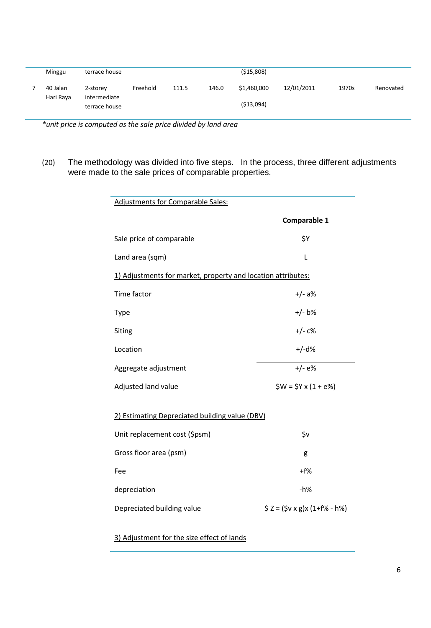| Minggu                | terrace house            | (515,808) |       |       |             |            |       |           |
|-----------------------|--------------------------|-----------|-------|-------|-------------|------------|-------|-----------|
| 40 Jalan<br>Hari Raya | 2-storey<br>intermediate | Freehold  | 111.5 | 146.0 | \$1.460.000 | 12/01/2011 | 1970s | Renovated |
|                       | terrace house            |           |       |       | ( \$13,094) |            |       |           |

*\*unit price is computed as the sale price divided by land area*

(20) The methodology was divided into five steps. In the process, three different adjustments were made to the sale prices of comparable properties.

| <b>Adjustments for Comparable Sales:</b>                     |                                    |  |  |  |  |  |
|--------------------------------------------------------------|------------------------------------|--|--|--|--|--|
|                                                              | Comparable 1                       |  |  |  |  |  |
| Sale price of comparable                                     | \$Υ                                |  |  |  |  |  |
| Land area (sqm)                                              | L                                  |  |  |  |  |  |
| 1) Adjustments for market, property and location attributes: |                                    |  |  |  |  |  |
| Time factor                                                  | $+/- a$ %                          |  |  |  |  |  |
| Type                                                         | $+/- b\%$                          |  |  |  |  |  |
| Siting                                                       | $+/- c$ %                          |  |  |  |  |  |
| Location                                                     | $+/-d%$                            |  |  |  |  |  |
| Aggregate adjustment                                         | $+/-e$ %                           |  |  |  |  |  |
| Adjusted land value                                          | $$W = $Y \times (1 + e\%)$         |  |  |  |  |  |
| 2) Estimating Depreciated building value (DBV)               |                                    |  |  |  |  |  |
| Unit replacement cost (\$psm)                                | \$v                                |  |  |  |  |  |
| Gross floor area (psm)                                       | g                                  |  |  |  |  |  |
| Fee                                                          | $+ f$ %                            |  |  |  |  |  |
| depreciation                                                 | $-h%$                              |  |  |  |  |  |
| Depreciated building value                                   | $5 Z = (5v \times g)x (1+f% - h%)$ |  |  |  |  |  |

3) Adjustment for the size effect of lands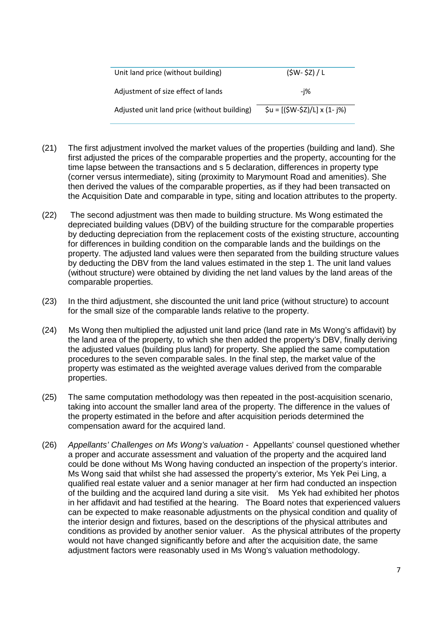| Unit land price (without building)          | $(SW - SZ) / L$                                                                                                 |
|---------------------------------------------|-----------------------------------------------------------------------------------------------------------------|
| Adjustment of size effect of lands          | -i%                                                                                                             |
| Adjusted unit land price (without building) | $\text{Su} = \left[ \frac{\text{SW-SZ}}{\text{U}} \right] \times \left( 1 - \frac{\text{SW}}{\text{U}} \right)$ |

- (21) The first adjustment involved the market values of the properties (building and land). She first adjusted the prices of the comparable properties and the property, accounting for the time lapse between the transactions and s 5 declaration, differences in property type (corner versus intermediate), siting (proximity to Marymount Road and amenities). She then derived the values of the comparable properties, as if they had been transacted on the Acquisition Date and comparable in type, siting and location attributes to the property.
- (22) The second adjustment was then made to building structure. Ms Wong estimated the depreciated building values (DBV) of the building structure for the comparable properties by deducting depreciation from the replacement costs of the existing structure, accounting for differences in building condition on the comparable lands and the buildings on the property. The adjusted land values were then separated from the building structure values by deducting the DBV from the land values estimated in the step 1. The unit land values (without structure) were obtained by dividing the net land values by the land areas of the comparable properties.
- (23) In the third adjustment, she discounted the unit land price (without structure) to account for the small size of the comparable lands relative to the property.
- (24) Ms Wong then multiplied the adjusted unit land price (land rate in Ms Wong's affidavit) by the land area of the property, to which she then added the property's DBV, finally deriving the adjusted values (building plus land) for property. She applied the same computation procedures to the seven comparable sales. In the final step, the market value of the property was estimated as the weighted average values derived from the comparable properties.
- (25) The same computation methodology was then repeated in the post-acquisition scenario, taking into account the smaller land area of the property. The difference in the values of the property estimated in the before and after acquisition periods determined the compensation award for the acquired land.
- (26) *Appellants' Challenges on Ms Wong's valuation* Appellants' counsel questioned whether a proper and accurate assessment and valuation of the property and the acquired land could be done without Ms Wong having conducted an inspection of the property's interior. Ms Wong said that whilst she had assessed the property's exterior, Ms Yek Pei Ling, a qualified real estate valuer and a senior manager at her firm had conducted an inspection of the building and the acquired land during a site visit. Ms Yek had exhibited her photos in her affidavit and had testified at the hearing. The Board notes that experienced valuers can be expected to make reasonable adjustments on the physical condition and quality of the interior design and fixtures, based on the descriptions of the physical attributes and conditions as provided by another senior valuer. As the physical attributes of the property would not have changed significantly before and after the acquisition date, the same adjustment factors were reasonably used in Ms Wong's valuation methodology.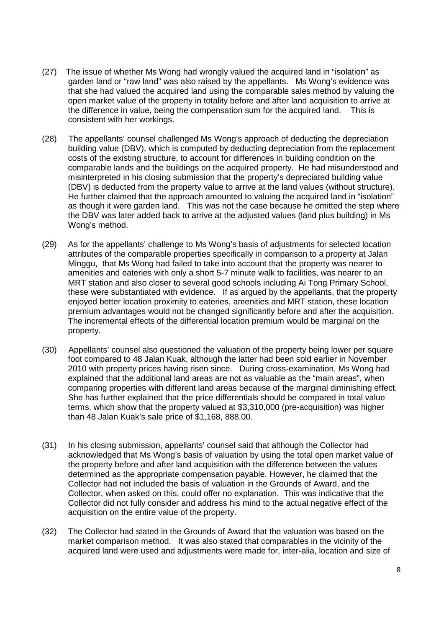- (27) The issue of whether Ms Wong had wrongly valued the acquired land in "isolation" as garden land or "raw land" was also raised by the appellants. Ms Wong's evidence was that she had valued the acquired land using the comparable sales method by valuing the open market value of the property in totality before and after land acquisition to arrive at the difference in value, being the compensation sum for the acquired land. This is consistent with her workings.
- (28) The appellants' counsel challenged Ms Wong's approach of deducting the depreciation building value (DBV), which is computed by deducting depreciation from the replacement costs of the existing structure, to account for differences in building condition on the comparable lands and the buildings on the acquired property. He had misunderstood and misinterpreted in his closing submission that the property's depreciated building value (DBV) is deducted from the property value to arrive at the land values (without structure). He further claimed that the approach amounted to valuing the acquired land in "isolation" as though it were garden land. This was not the case because he omitted the step where the DBV was later added back to arrive at the adjusted values (land plus building) in Ms Wong's method.
- (29) As for the appellants' challenge to Ms Wong's basis of adjustments for selected location attributes of the comparable properties specifically in comparison to a property at Jalan Minggu, that Ms Wong had failed to take into account that the property was nearer to amenities and eateries with only a short 5-7 minute walk to facilities, was nearer to an MRT station and also closer to several good schools including Ai Tong Primary School, these were substantiated with evidence. If as argued by the appellants, that the property enjoyed better location proximity to eateries, amenities and MRT station, these location premium advantages would not be changed significantly before and after the acquisition. The incremental effects of the differential location premium would be marginal on the property.
- (30) Appellants' counsel also questioned the valuation of the property being lower per square foot compared to 48 Jalan Kuak, although the latter had been sold earlier in November 2010 with property prices having risen since. During cross-examination, Ms Wong had explained that the additional land areas are not as valuable as the "main areas", when comparing properties with different land areas because of the marginal diminishing effect. She has further explained that the price differentials should be compared in total value terms, which show that the property valued at \$3,310,000 (pre-acquisition) was higher than 48 Jalan Kuak's sale price of \$1,168, 888.00.
- (31) In his closing submission, appellants' counsel said that although the Collector had acknowledged that Ms Wong's basis of valuation by using the total open market value of the property before and after land acquisition with the difference between the values determined as the appropriate compensation payable. However, he claimed that the Collector had not included the basis of valuation in the Grounds of Award, and the Collector, when asked on this, could offer no explanation. This was indicative that the Collector did not fully consider and address his mind to the actual negative effect of the acquisition on the entire value of the property.
- (32) The Collector had stated in the Grounds of Award that the valuation was based on the market comparison method. It was also stated that comparables in the vicinity of the acquired land were used and adjustments were made for, inter-alia, location and size of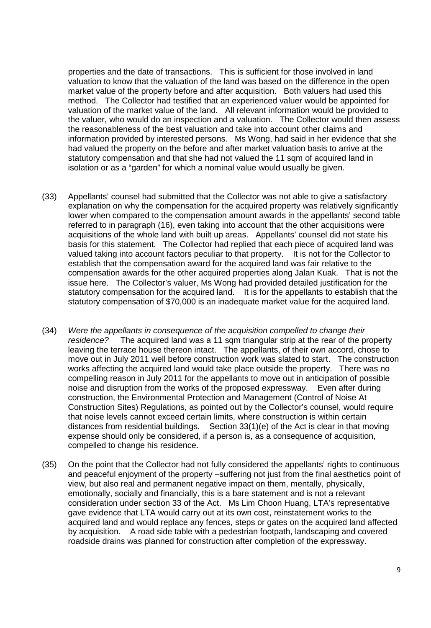properties and the date of transactions. This is sufficient for those involved in land valuation to know that the valuation of the land was based on the difference in the open market value of the property before and after acquisition. Both valuers had used this method. The Collector had testified that an experienced valuer would be appointed for valuation of the market value of the land. All relevant information would be provided to the valuer, who would do an inspection and a valuation. The Collector would then assess the reasonableness of the best valuation and take into account other claims and information provided by interested persons. Ms Wong, had said in her evidence that she had valued the property on the before and after market valuation basis to arrive at the statutory compensation and that she had not valued the 11 sqm of acquired land in isolation or as a "garden" for which a nominal value would usually be given.

- (33) Appellants' counsel had submitted that the Collector was not able to give a satisfactory explanation on why the compensation for the acquired property was relatively significantly lower when compared to the compensation amount awards in the appellants' second table referred to in paragraph (16), even taking into account that the other acquisitions were acquisitions of the whole land with built up areas. Appellants' counsel did not state his basis for this statement. The Collector had replied that each piece of acquired land was valued taking into account factors peculiar to that property. It is not for the Collector to establish that the compensation award for the acquired land was fair relative to the compensation awards for the other acquired properties along Jalan Kuak. That is not the issue here. The Collector's valuer, Ms Wong had provided detailed justification for the statutory compensation for the acquired land. It is for the appellants to establish that the statutory compensation of \$70,000 is an inadequate market value for the acquired land.
- (34) *Were the appellants in consequence of the acquisition compelled to change their residence?* The acquired land was a 11 sqm triangular strip at the rear of the property leaving the terrace house thereon intact. The appellants, of their own accord, chose to move out in July 2011 well before construction work was slated to start. The construction works affecting the acquired land would take place outside the property. There was no compelling reason in July 2011 for the appellants to move out in anticipation of possible noise and disruption from the works of the proposed expressway. Even after during construction, the Environmental Protection and Management (Control of Noise At Construction Sites) Regulations, as pointed out by the Collector's counsel, would require that noise levels cannot exceed certain limits, where construction is within certain distances from residential buildings. Section 33(1)(e) of the Act is clear in that moving expense should only be considered, if a person is, as a consequence of acquisition, compelled to change his residence.
- (35) On the point that the Collector had not fully considered the appellants' rights to continuous and peaceful enjoyment of the property –suffering not just from the final aesthetics point of view, but also real and permanent negative impact on them, mentally, physically, emotionally, socially and financially, this is a bare statement and is not a relevant consideration under section 33 of the Act. Ms Lim Choon Huang, LTA's representative gave evidence that LTA would carry out at its own cost, reinstatement works to the acquired land and would replace any fences, steps or gates on the acquired land affected by acquisition. A road side table with a pedestrian footpath, landscaping and covered roadside drains was planned for construction after completion of the expressway.